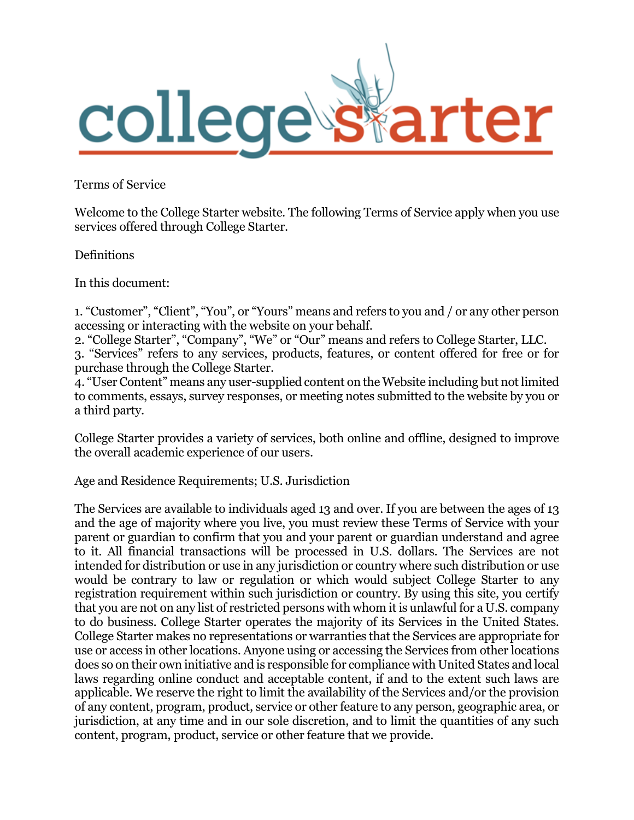

Terms of Service

Welcome to the College Starter website. The following Terms of Service apply when you use services offered through College Starter.

Definitions

In this document:

1. "Customer", "Client", "You", or "Yours" means and refers to you and / or any other person accessing or interacting with the website on your behalf.

2. "College Starter", "Company", "We" or "Our" means and refers to College Starter, LLC. 3. "Services" refers to any services, products, features, or content offered for free or for purchase through the College Starter.

4. "User Content" means any user-supplied content on the Website including but not limited to comments, essays, survey responses, or meeting notes submitted to the website by you or a third party.

College Starter provides a variety of services, both online and offline, designed to improve the overall academic experience of our users.

Age and Residence Requirements; U.S. Jurisdiction

The Services are available to individuals aged 13 and over. If you are between the ages of 13 and the age of majority where you live, you must review these Terms of Service with your parent or guardian to confirm that you and your parent or guardian understand and agree to it. All financial transactions will be processed in U.S. dollars. The Services are not intended for distribution or use in any jurisdiction or country where such distribution or use would be contrary to law or regulation or which would subject College Starter to any registration requirement within such jurisdiction or country. By using this site, you certify that you are not on any list of restricted persons with whom it is unlawful for a U.S. company to do business. College Starter operates the majority of its Services in the United States. College Starter makes no representations or warranties that the Services are appropriate for use or access in other locations. Anyone using or accessing the Services from other locations does so on their own initiative and is responsible for compliance with United States and local laws regarding online conduct and acceptable content, if and to the extent such laws are applicable. We reserve the right to limit the availability of the Services and/or the provision of any content, program, product, service or other feature to any person, geographic area, or jurisdiction, at any time and in our sole discretion, and to limit the quantities of any such content, program, product, service or other feature that we provide.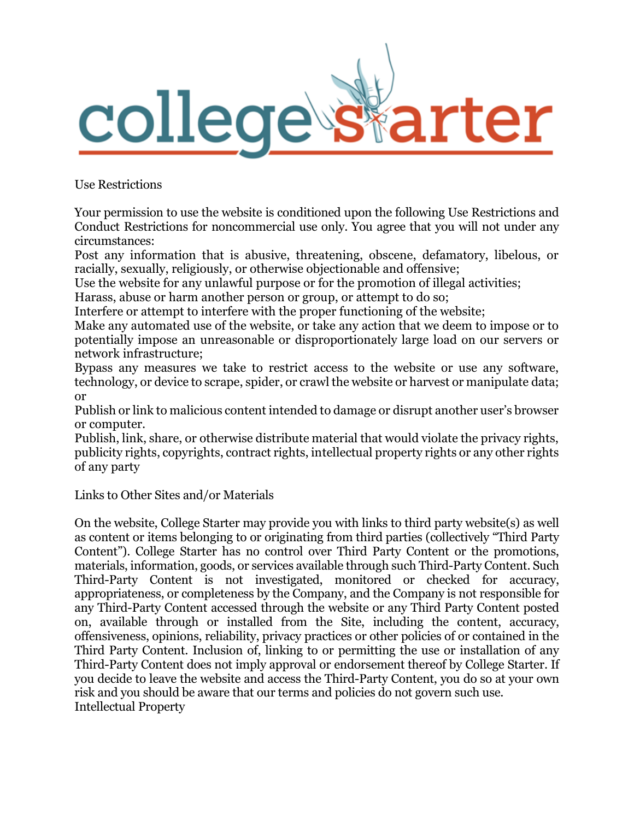

Use Restrictions

Your permission to use the website is conditioned upon the following Use Restrictions and Conduct Restrictions for noncommercial use only. You agree that you will not under any circumstances:

Post any information that is abusive, threatening, obscene, defamatory, libelous, or racially, sexually, religiously, or otherwise objectionable and offensive;

Use the website for any unlawful purpose or for the promotion of illegal activities;

Harass, abuse or harm another person or group, or attempt to do so;

Interfere or attempt to interfere with the proper functioning of the website;

Make any automated use of the website, or take any action that we deem to impose or to potentially impose an unreasonable or disproportionately large load on our servers or network infrastructure;

Bypass any measures we take to restrict access to the website or use any software, technology, or device to scrape, spider, or crawl the website or harvest or manipulate data; or

Publish or link to malicious content intended to damage or disrupt another user's browser or computer.

Publish, link, share, or otherwise distribute material that would violate the privacy rights, publicity rights, copyrights, contract rights, intellectual property rights or any other rights of any party

Links to Other Sites and/or Materials

On the website, College Starter may provide you with links to third party website(s) as well as content or items belonging to or originating from third parties (collectively "Third Party Content"). College Starter has no control over Third Party Content or the promotions, materials, information, goods, or services available through such Third-Party Content. Such Third-Party Content is not investigated, monitored or checked for accuracy, appropriateness, or completeness by the Company, and the Company is not responsible for any Third-Party Content accessed through the website or any Third Party Content posted on, available through or installed from the Site, including the content, accuracy, offensiveness, opinions, reliability, privacy practices or other policies of or contained in the Third Party Content. Inclusion of, linking to or permitting the use or installation of any Third-Party Content does not imply approval or endorsement thereof by College Starter. If you decide to leave the website and access the Third-Party Content, you do so at your own risk and you should be aware that our terms and policies do not govern such use. Intellectual Property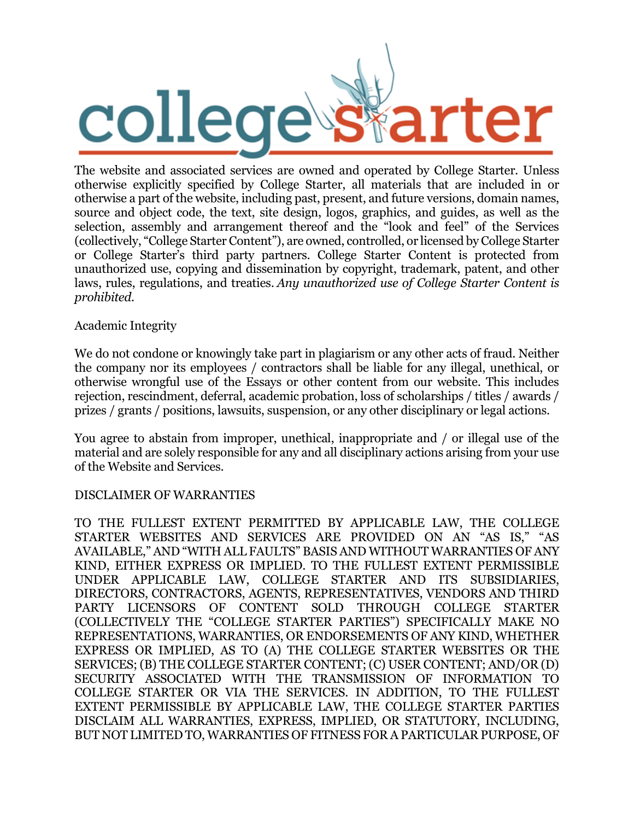

The website and associated services are owned and operated by College Starter. Unless otherwise explicitly specified by College Starter, all materials that are included in or otherwise a part of the website, including past, present, and future versions, domain names, source and object code, the text, site design, logos, graphics, and guides, as well as the selection, assembly and arrangement thereof and the "look and feel" of the Services (collectively, "College Starter Content"), are owned, controlled, or licensed by College Starter or College Starter's third party partners. College Starter Content is protected from unauthorized use, copying and dissemination by copyright, trademark, patent, and other laws, rules, regulations, and treaties. *Any unauthorized use of College Starter Content is prohibited.*

### Academic Integrity

We do not condone or knowingly take part in plagiarism or any other acts of fraud. Neither the company nor its employees / contractors shall be liable for any illegal, unethical, or otherwise wrongful use of the Essays or other content from our website. This includes rejection, rescindment, deferral, academic probation, loss of scholarships / titles / awards / prizes / grants / positions, lawsuits, suspension, or any other disciplinary or legal actions.

You agree to abstain from improper, unethical, inappropriate and / or illegal use of the material and are solely responsible for any and all disciplinary actions arising from your use of the Website and Services.

# DISCLAIMER OF WARRANTIES

TO THE FULLEST EXTENT PERMITTED BY APPLICABLE LAW, THE COLLEGE STARTER WEBSITES AND SERVICES ARE PROVIDED ON AN "AS IS," "AS AVAILABLE," AND "WITH ALL FAULTS" BASIS AND WITHOUT WARRANTIES OF ANY KIND, EITHER EXPRESS OR IMPLIED. TO THE FULLEST EXTENT PERMISSIBLE UNDER APPLICABLE LAW, COLLEGE STARTER AND ITS SUBSIDIARIES, DIRECTORS, CONTRACTORS, AGENTS, REPRESENTATIVES, VENDORS AND THIRD PARTY LICENSORS OF CONTENT SOLD THROUGH COLLEGE STARTER (COLLECTIVELY THE "COLLEGE STARTER PARTIES") SPECIFICALLY MAKE NO REPRESENTATIONS, WARRANTIES, OR ENDORSEMENTS OF ANY KIND, WHETHER EXPRESS OR IMPLIED, AS TO (A) THE COLLEGE STARTER WEBSITES OR THE SERVICES; (B) THE COLLEGE STARTER CONTENT; (C) USER CONTENT; AND/OR (D) SECURITY ASSOCIATED WITH THE TRANSMISSION OF INFORMATION TO COLLEGE STARTER OR VIA THE SERVICES. IN ADDITION, TO THE FULLEST EXTENT PERMISSIBLE BY APPLICABLE LAW, THE COLLEGE STARTER PARTIES DISCLAIM ALL WARRANTIES, EXPRESS, IMPLIED, OR STATUTORY, INCLUDING, BUT NOT LIMITED TO, WARRANTIES OF FITNESS FOR A PARTICULAR PURPOSE, OF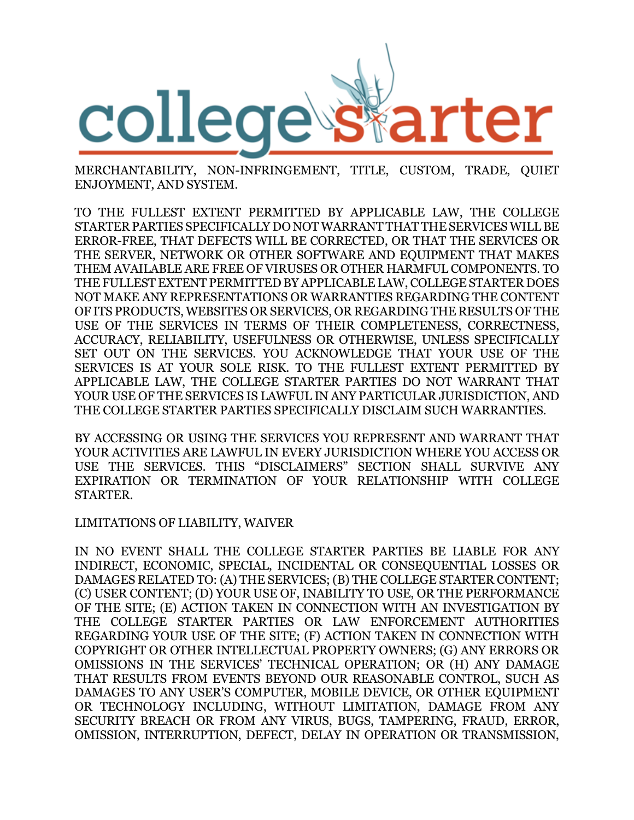

MERCHANTABILITY, NON-INFRINGEMENT, TITLE, CUSTOM, TRADE, QUIET ENJOYMENT, AND SYSTEM.

TO THE FULLEST EXTENT PERMITTED BY APPLICABLE LAW, THE COLLEGE STARTER PARTIES SPECIFICALLY DO NOT WARRANT THAT THE SERVICES WILL BE ERROR-FREE, THAT DEFECTS WILL BE CORRECTED, OR THAT THE SERVICES OR THE SERVER, NETWORK OR OTHER SOFTWARE AND EQUIPMENT THAT MAKES THEM AVAILABLE ARE FREE OF VIRUSES OR OTHER HARMFUL COMPONENTS. TO THE FULLEST EXTENT PERMITTED BY APPLICABLE LAW, COLLEGE STARTER DOES NOT MAKE ANY REPRESENTATIONS OR WARRANTIES REGARDING THE CONTENT OF ITS PRODUCTS, WEBSITES OR SERVICES, OR REGARDING THE RESULTS OF THE USE OF THE SERVICES IN TERMS OF THEIR COMPLETENESS, CORRECTNESS, ACCURACY, RELIABILITY, USEFULNESS OR OTHERWISE, UNLESS SPECIFICALLY SET OUT ON THE SERVICES. YOU ACKNOWLEDGE THAT YOUR USE OF THE SERVICES IS AT YOUR SOLE RISK. TO THE FULLEST EXTENT PERMITTED BY APPLICABLE LAW, THE COLLEGE STARTER PARTIES DO NOT WARRANT THAT YOUR USE OF THE SERVICES IS LAWFUL IN ANY PARTICULAR JURISDICTION, AND THE COLLEGE STARTER PARTIES SPECIFICALLY DISCLAIM SUCH WARRANTIES.

BY ACCESSING OR USING THE SERVICES YOU REPRESENT AND WARRANT THAT YOUR ACTIVITIES ARE LAWFUL IN EVERY JURISDICTION WHERE YOU ACCESS OR USE THE SERVICES. THIS "DISCLAIMERS" SECTION SHALL SURVIVE ANY EXPIRATION OR TERMINATION OF YOUR RELATIONSHIP WITH COLLEGE STARTER.

#### LIMITATIONS OF LIABILITY, WAIVER

IN NO EVENT SHALL THE COLLEGE STARTER PARTIES BE LIABLE FOR ANY INDIRECT, ECONOMIC, SPECIAL, INCIDENTAL OR CONSEQUENTIAL LOSSES OR DAMAGES RELATED TO: (A) THE SERVICES; (B) THE COLLEGE STARTER CONTENT; (C) USER CONTENT; (D) YOUR USE OF, INABILITY TO USE, OR THE PERFORMANCE OF THE SITE; (E) ACTION TAKEN IN CONNECTION WITH AN INVESTIGATION BY THE COLLEGE STARTER PARTIES OR LAW ENFORCEMENT AUTHORITIES REGARDING YOUR USE OF THE SITE; (F) ACTION TAKEN IN CONNECTION WITH COPYRIGHT OR OTHER INTELLECTUAL PROPERTY OWNERS; (G) ANY ERRORS OR OMISSIONS IN THE SERVICES' TECHNICAL OPERATION; OR (H) ANY DAMAGE THAT RESULTS FROM EVENTS BEYOND OUR REASONABLE CONTROL, SUCH AS DAMAGES TO ANY USER'S COMPUTER, MOBILE DEVICE, OR OTHER EQUIPMENT OR TECHNOLOGY INCLUDING, WITHOUT LIMITATION, DAMAGE FROM ANY SECURITY BREACH OR FROM ANY VIRUS, BUGS, TAMPERING, FRAUD, ERROR, OMISSION, INTERRUPTION, DEFECT, DELAY IN OPERATION OR TRANSMISSION,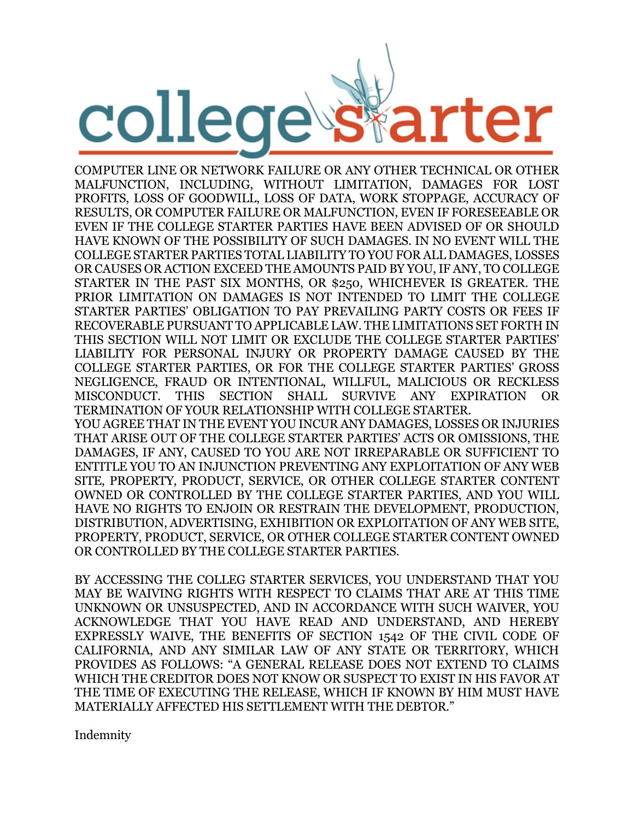

COMPUTER LINE OR NETWORK FAILURE OR ANY OTHER TECHNICAL OR OTHER MALFUNCTION, INCLUDING, WITHOUT LIMITATION, DAMAGES FOR LOST PROFITS, LOSS OF GOODWILL, LOSS OF DATA, WORK STOPPAGE, ACCURACY OF RESULTS, OR COMPUTER FAILURE OR MALFUNCTION, EVEN IF FORESEEABLE OR EVEN IF THE COLLEGE STARTER PARTIES HAVE BEEN ADVISED OF OR SHOULD HAVE KNOWN OF THE POSSIBILITY OF SUCH DAMAGES. IN NO EVENT WILL THE COLLEGE STARTER PARTIES TOTAL LIABILITY TO YOU FOR ALL DAMAGES, LOSSES OR CAUSES OR ACTION EXCEED THE AMOUNTS PAID BY YOU, IF ANY, TO COLLEGE STARTER IN THE PAST SIX MONTHS, OR \$250, WHICHEVER IS GREATER. THE PRIOR LIMITATION ON DAMAGES IS NOT INTENDED TO LIMIT THE COLLEGE STARTER PARTIES' OBLIGATION TO PAY PREVAILING PARTY COSTS OR FEES IF RECOVERABLE PURSUANT TO APPLICABLE LAW. THE LIMITATIONS SET FORTH IN THIS SECTION WILL NOT LIMIT OR EXCLUDE THE COLLEGE STARTER PARTIES' LIABILITY FOR PERSONAL INJURY OR PROPERTY DAMAGE CAUSED BY THE COLLEGE STARTER PARTIES, OR FOR THE COLLEGE STARTER PARTIES' GROSS NEGLIGENCE, FRAUD OR INTENTIONAL, WILLFUL, MALICIOUS OR RECKLESS MISCONDUCT. THIS SECTION SHALL SURVIVE ANY EXPIRATION OR TERMINATION OF YOUR RELATIONSHIP WITH COLLEGE STARTER.

YOU AGREE THAT IN THE EVENT YOU INCUR ANY DAMAGES, LOSSES OR INJURIES THAT ARISE OUT OF THE COLLEGE STARTER PARTIES' ACTS OR OMISSIONS, THE DAMAGES, IF ANY, CAUSED TO YOU ARE NOT IRREPARABLE OR SUFFICIENT TO ENTITLE YOU TO AN INJUNCTION PREVENTING ANY EXPLOITATION OF ANY WEB SITE, PROPERTY, PRODUCT, SERVICE, OR OTHER COLLEGE STARTER CONTENT OWNED OR CONTROLLED BY THE COLLEGE STARTER PARTIES, AND YOU WILL HAVE NO RIGHTS TO ENJOIN OR RESTRAIN THE DEVELOPMENT, PRODUCTION, DISTRIBUTION, ADVERTISING, EXHIBITION OR EXPLOITATION OF ANY WEB SITE, PROPERTY, PRODUCT, SERVICE, OR OTHER COLLEGE STARTER CONTENT OWNED OR CONTROLLED BY THE COLLEGE STARTER PARTIES.

BY ACCESSING THE COLLEG STARTER SERVICES, YOU UNDERSTAND THAT YOU MAY BE WAIVING RIGHTS WITH RESPECT TO CLAIMS THAT ARE AT THIS TIME UNKNOWN OR UNSUSPECTED, AND IN ACCORDANCE WITH SUCH WAIVER, YOU ACKNOWLEDGE THAT YOU HAVE READ AND UNDERSTAND, AND HEREBY EXPRESSLY WAIVE, THE BENEFITS OF SECTION 1542 OF THE CIVIL CODE OF CALIFORNIA, AND ANY SIMILAR LAW OF ANY STATE OR TERRITORY, WHICH PROVIDES AS FOLLOWS: "A GENERAL RELEASE DOES NOT EXTEND TO CLAIMS WHICH THE CREDITOR DOES NOT KNOW OR SUSPECT TO EXIST IN HIS FAVOR AT THE TIME OF EXECUTING THE RELEASE, WHICH IF KNOWN BY HIM MUST HAVE MATERIALLY AFFECTED HIS SETTLEMENT WITH THE DEBTOR."

Indemnity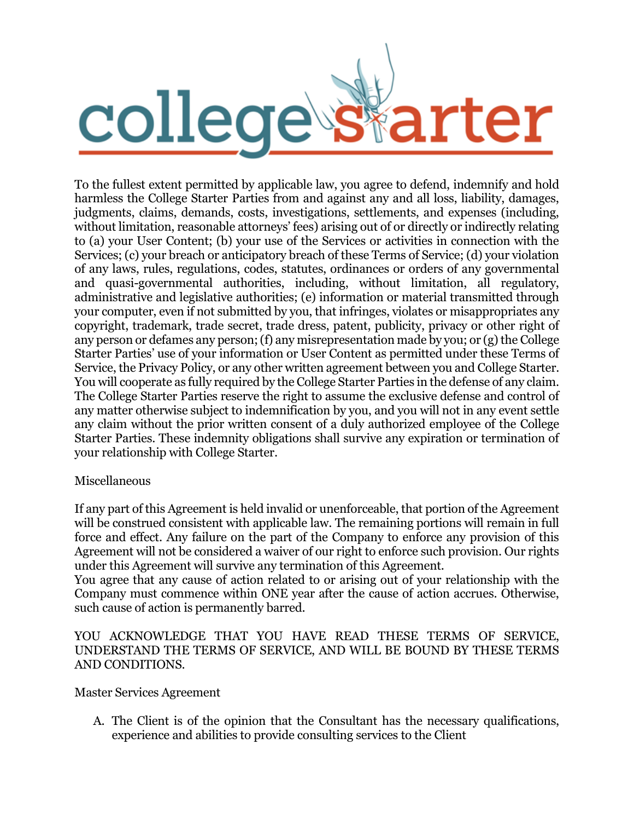

To the fullest extent permitted by applicable law, you agree to defend, indemnify and hold harmless the College Starter Parties from and against any and all loss, liability, damages, judgments, claims, demands, costs, investigations, settlements, and expenses (including, without limitation, reasonable attorneys' fees) arising out of or directly or indirectly relating to (a) your User Content; (b) your use of the Services or activities in connection with the Services; (c) your breach or anticipatory breach of these Terms of Service; (d) your violation of any laws, rules, regulations, codes, statutes, ordinances or orders of any governmental and quasi-governmental authorities, including, without limitation, all regulatory, administrative and legislative authorities; (e) information or material transmitted through your computer, even if not submitted by you, that infringes, violates or misappropriates any copyright, trademark, trade secret, trade dress, patent, publicity, privacy or other right of any person or defames any person; (f) any misrepresentation made by you; or (g) the College Starter Parties' use of your information or User Content as permitted under these Terms of Service, the Privacy Policy, or any other written agreement between you and College Starter. You will cooperate as fully required by the College Starter Parties in the defense of any claim. The College Starter Parties reserve the right to assume the exclusive defense and control of any matter otherwise subject to indemnification by you, and you will not in any event settle any claim without the prior written consent of a duly authorized employee of the College Starter Parties. These indemnity obligations shall survive any expiration or termination of your relationship with College Starter.

# Miscellaneous

If any part of this Agreement is held invalid or unenforceable, that portion of the Agreement will be construed consistent with applicable law. The remaining portions will remain in full force and effect. Any failure on the part of the Company to enforce any provision of this Agreement will not be considered a waiver of our right to enforce such provision. Our rights under this Agreement will survive any termination of this Agreement.

You agree that any cause of action related to or arising out of your relationship with the Company must commence within ONE year after the cause of action accrues. Otherwise, such cause of action is permanently barred.

### YOU ACKNOWLEDGE THAT YOU HAVE READ THESE TERMS OF SERVICE, UNDERSTAND THE TERMS OF SERVICE, AND WILL BE BOUND BY THESE TERMS AND CONDITIONS.

Master Services Agreement

A. The Client is of the opinion that the Consultant has the necessary qualifications, experience and abilities to provide consulting services to the Client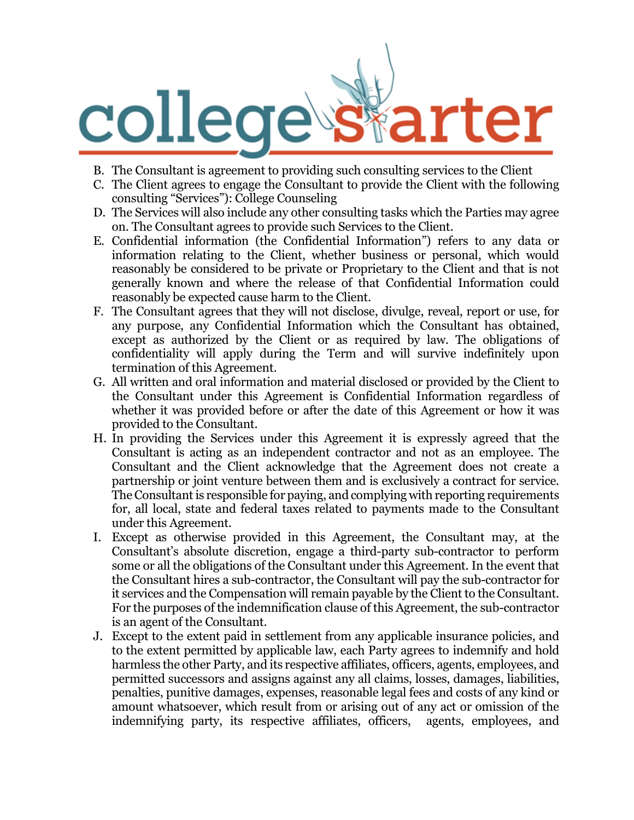

- B. The Consultant is agreement to providing such consulting services to the Client
- C. The Client agrees to engage the Consultant to provide the Client with the following consulting "Services"): College Counseling
- D. The Services will also include any other consulting tasks which the Parties may agree on. The Consultant agrees to provide such Services to the Client.
- E. Confidential information (the Confidential Information") refers to any data or information relating to the Client, whether business or personal, which would reasonably be considered to be private or Proprietary to the Client and that is not generally known and where the release of that Confidential Information could reasonably be expected cause harm to the Client.
- F. The Consultant agrees that they will not disclose, divulge, reveal, report or use, for any purpose, any Confidential Information which the Consultant has obtained, except as authorized by the Client or as required by law. The obligations of confidentiality will apply during the Term and will survive indefinitely upon termination of this Agreement.
- G. All written and oral information and material disclosed or provided by the Client to the Consultant under this Agreement is Confidential Information regardless of whether it was provided before or after the date of this Agreement or how it was provided to the Consultant.
- H. In providing the Services under this Agreement it is expressly agreed that the Consultant is acting as an independent contractor and not as an employee. The Consultant and the Client acknowledge that the Agreement does not create a partnership or joint venture between them and is exclusively a contract for service. The Consultant is responsible for paying, and complying with reporting requirements for, all local, state and federal taxes related to payments made to the Consultant under this Agreement.
- I. Except as otherwise provided in this Agreement, the Consultant may, at the Consultant's absolute discretion, engage a third-party sub-contractor to perform some or all the obligations of the Consultant under this Agreement. In the event that the Consultant hires a sub-contractor, the Consultant will pay the sub-contractor for it services and the Compensation will remain payable by the Client to the Consultant. For the purposes of the indemnification clause of this Agreement, the sub-contractor is an agent of the Consultant.
- J. Except to the extent paid in settlement from any applicable insurance policies, and to the extent permitted by applicable law, each Party agrees to indemnify and hold harmless the other Party, and its respective affiliates, officers, agents, employees, and permitted successors and assigns against any all claims, losses, damages, liabilities, penalties, punitive damages, expenses, reasonable legal fees and costs of any kind or amount whatsoever, which result from or arising out of any act or omission of the indemnifying party, its respective affiliates, officers, agents, employees, and